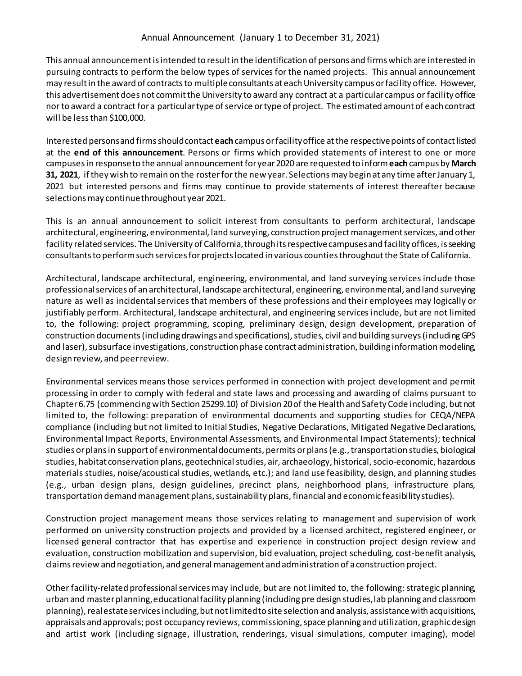This annual announcement is intended to result in the identification of persons and firms which are interested in pursuing contracts to perform the below types of services for the named projects. This annual announcement may result in the award of contracts to multiple consultants at each University campus or facility office. However, this advertisement does not commit the University to award any contract at a particular campus or facility office nor to award a contract for a particular type of service or type of project. The estimated amount of each contract will be less than \$100,000.

Interested persons and firms should contact **each**campus or facility office at the respective points of contact listed at the **end of this announcement**. Persons or firms which provided statements of interest to one or more campuses in response to the annual announcement for year 2020 are requested to inform **each**campus by **March 31, 2021**, if they wish to remain on the roster for the new year. Selections may begin at any time after January 1, 2021 but interested persons and firms may continue to provide statements of interest thereafter because selections may continue throughout year 2021.

This is an annual announcement to solicit interest from consultants to perform architectural, landscape architectural, engineering, environmental, land surveying, construction project management services, and other facility related services. The University of California, through its respective campuses and facility offices, is seeking consultants to perform such services for projects located in various counties throughout the State of California.

Architectural, landscape architectural, engineering, environmental, and land surveying services include those professional services of an architectural, landscape architectural, engineering, environmental, and land surveying nature as well as incidental services that members of these professions and their employees may logically or justifiably perform. Architectural, landscape architectural, and engineering services include, but are not limited to, the following: project programming, scoping, preliminary design, design development, preparation of construction documents (including drawings and specifications), studies, civil and building surveys(including GPS and laser), subsurface investigations, construction phase contract administration, building information modeling, design review, and peer review.

Environmental services means those services performed in connection with project development and permit processing in order to comply with federal and state laws and processing and awarding of claims pursuant to Chapter 6.75 (commencing with Section 25299.10) of Division 20 of the Health and Safety Code including, but not limited to, the following: preparation of environmental documents and supporting studies for CEQA/NEPA compliance (including but not limited to Initial Studies, Negative Declarations, Mitigated Negative Declarations, Environmental Impact Reports, Environmental Assessments, and Environmental Impact Statements); technical studies or plans in support of environmental documents, permits or plans (e.g., transportation studies, biological studies, habitat conservation plans, geotechnical studies, air, archaeology, historical, socio-economic, hazardous materials studies, noise/acoustical studies, wetlands, etc.); and land use feasibility, design, and planning studies (e.g., urban design plans, design guidelines, precinct plans, neighborhood plans, infrastructure plans, transportation demand management plans, sustainability plans, financial and economic feasibility studies).

Construction project management means those services relating to management and supervision of work performed on university construction projects and provided by a licensed architect, registered engineer, or licensed general contractor that has expertise and experience in construction project design review and evaluation, construction mobilization and supervision, bid evaluation, project scheduling, cost-benefit analysis, claims review and negotiation, and general management and administration of a construction project.

Other facility-related professional services may include, but are not limited to, the following: strategic planning, urban and master planning, educational facility planning (including pre design studies, lab planning and classroom planning), real estate services including, but not limited to site selection and analysis, assistance with acquisitions, appraisals and approvals; post occupancy reviews, commissioning, space planning and utilization, graphic design and artist work (including signage, illustration, renderings, visual simulations, computer imaging), model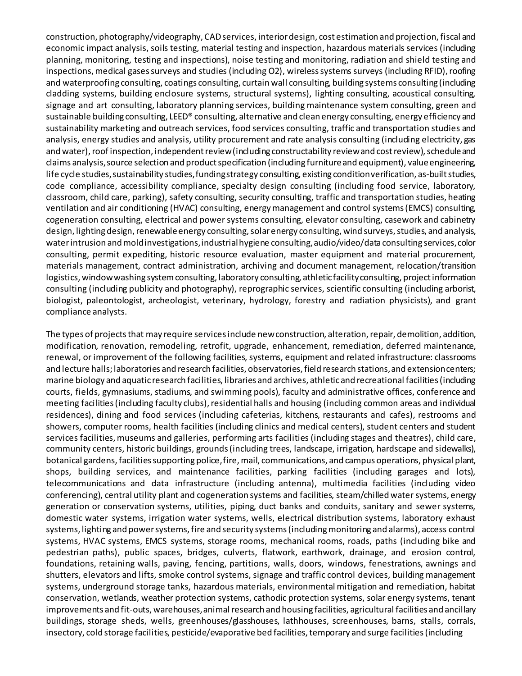construction, photography/videography, CAD services, interior design, cost estimation and projection, fiscal and economic impact analysis, soils testing, material testing and inspection, hazardous materials services (including planning, monitoring, testing and inspections), noise testing and monitoring, radiation and shield testing and inspections, medical gases surveys and studies (including O2), wireless systems surveys (including RFID), roofing and waterproofing consulting, coatings consulting, curtain wall consulting, building systems consulting (including cladding systems, building enclosure systems, structural systems), lighting consulting, acoustical consulting, signage and art consulting, laboratory planning services, building maintenance system consulting, green and sustainable building consulting, LEED® consulting, alternative and clean energy consulting, energy efficiency and sustainability marketing and outreach services, food services consulting, traffic and transportation studies and analysis, energy studies and analysis, utility procurement and rate analysis consulting (including electricity, gas and water), roof inspection, independent review (including constructability review and cost review), schedule and claims analysis, source selection and product specification (including furniture and equipment), value engineering, life cycle studies, sustainability studies, funding strategy consulting, existing condition verification, as-built studies, code compliance, accessibility compliance, specialty design consulting (including food service, laboratory, classroom, child care, parking), safety consulting, security consulting, traffic and transportation studies, heating ventilation and air conditioning (HVAC) consulting, energy management and control systems (EMCS) consulting, cogeneration consulting, electrical and power systems consulting, elevator consulting, casework and cabinetry design, lighting design, renewable energy consulting, solar energy consulting, wind surveys, studies, and analysis, water intrusion and mold investigations, industrial hygiene consulting, audio/video/data consulting services, color consulting, permit expediting, historic resource evaluation, master equipment and material procurement, materials management, contract administration, archiving and document management, relocation/transition logistics, window washing system consulting, laboratory consulting, athletic facility consulting, project information consulting (including publicity and photography), reprographic services, scientific consulting (including arborist, biologist, paleontologist, archeologist, veterinary, hydrology, forestry and radiation physicists), and grant compliance analysts.

The types of projects that may require services include new construction, alteration, repair, demolition, addition, modification, renovation, remodeling, retrofit, upgrade, enhancement, remediation, deferred maintenance, renewal, or improvement of the following facilities, systems, equipment and related infrastructure: classrooms and lecture halls; laboratories and research facilities, observatories,field research stations, and extension centers; marine biology and aquatic research facilities, libraries and archives, athletic and recreational facilities (including courts, fields, gymnasiums, stadiums, and swimming pools), faculty and administrative offices, conference and meeting facilities (including faculty clubs), residential halls and housing (including common areas and individual residences), dining and food services (including cafeterias, kitchens, restaurants and cafes), restrooms and showers, computer rooms, health facilities (including clinics and medical centers), student centers and student services facilities, museums and galleries, performing arts facilities (including stages and theatres), child care, community centers, historic buildings, grounds (including trees, landscape, irrigation, hardscape and sidewalks), botanical gardens, facilities supporting police, fire, mail, communications, and campus operations, physical plant, shops, building services, and maintenance facilities, parking facilities (including garages and lots), telecommunications and data infrastructure (including antenna), multimedia facilities (including video conferencing), central utility plant and cogeneration systems and facilities, steam/chilled water systems, energy generation or conservation systems, utilities, piping, duct banks and conduits, sanitary and sewer systems, domestic water systems, irrigation water systems, wells, electrical distribution systems, laboratory exhaust systems, lighting and power systems, fire and security systems (including monitoring and alarms), access control systems, HVAC systems, EMCS systems, storage rooms, mechanical rooms, roads, paths (including bike and pedestrian paths), public spaces, bridges, culverts, flatwork, earthwork, drainage, and erosion control, foundations, retaining walls, paving, fencing, partitions, walls, doors, windows, fenestrations, awnings and shutters, elevators and lifts, smoke control systems, signage and traffic control devices, building management systems, underground storage tanks, hazardous materials, environmental mitigation and remediation, habitat conservation, wetlands, weather protection systems, cathodic protection systems, solar energy systems, tenant improvements and fit-outs, warehouses, animal research and housing facilities, agricultural facilities and ancillary buildings, storage sheds, wells, greenhouses/glasshouses, lathhouses, screenhouses, barns, stalls, corrals, insectory, cold storage facilities, pesticide/evaporative bed facilities, temporary and surge facilities (including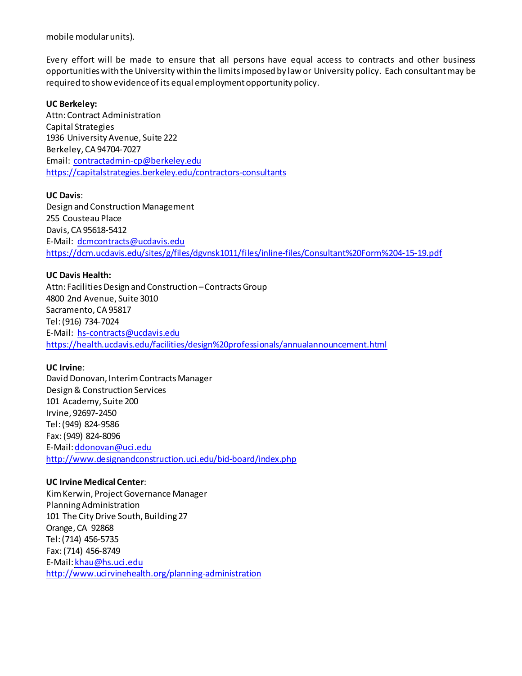mobile modular units).

Every effort will be made to ensure that all persons have equal access to contracts and other business opportunities with the University within the limits imposed by law or University policy. Each consultant may be required to show evidence of its equal employment opportunity policy.

### **UC Berkeley:**

Attn: Contract Administration Capital Strategies 1936 University Avenue, Suite 222 Berkeley, CA 94704-7027 Email: [contractadmin-cp@berkeley.edu](mailto:contractadmin-cp@berkeley.edu) <https://capitalstrategies.berkeley.edu/contractors-consultants>

### **UC Davis**:

Design and Construction Management 255 Cousteau Place Davis, CA 95618-5412 E-Mail: [dcmcontracts@ucdavis.edu](mailto:dcmcontracts@ucdavis.edu) <https://dcm.ucdavis.edu/sites/g/files/dgvnsk1011/files/inline-files/Consultant%20Form%204-15-19.pdf>

### **UC Davis Health:**

Attn: Facilities Design and Construction – Contracts Group 4800 2nd Avenue, Suite 3010 Sacramento, CA 95817 Tel: (916) 734-7024 E-Mail: [hs-contracts@ucdavis.edu](mailto:hs-contracts@ucdavis.edu) <https://health.ucdavis.edu/facilities/design%20professionals/annualannouncement.html>

## **UC Irvine**:

David Donovan, Interim Contracts Manager Design & Construction Services 101 Academy, Suite 200 Irvine, 92697-2450 Tel: (949) 824-9586 Fax: (949) 824-8096 E-Mail[: ddonovan@uci.edu](mailto:ddonovan@uci.edu) <http://www.designandconstruction.uci.edu/bid-board/index.php>

## **UC Irvine Medical Center**:

Kim Kerwin, Project Governance Manager Planning Administration 101 The City Drive South, Building 27 Orange, CA 92868 Tel:(714) 456-5735 Fax:(714) 456-8749 E-Mail: [khau@hs.uci.edu](mailto:khau@hs.uci.edu) <http://www.ucirvinehealth.org/planning-administration>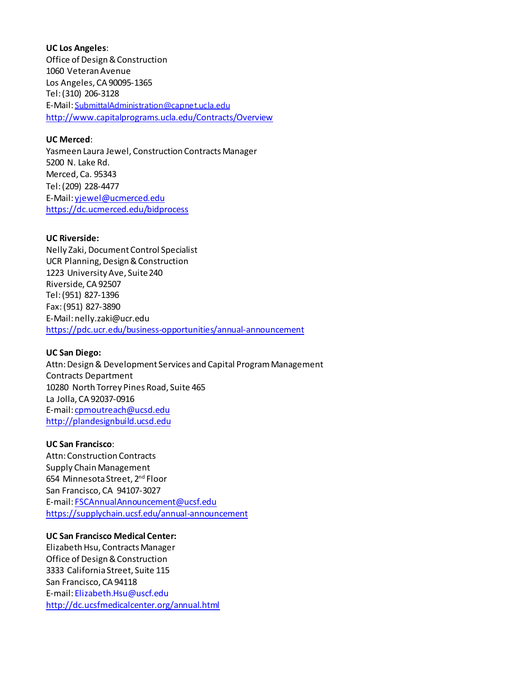**UC Los Angeles**: Office of Design & Construction 1060 Veteran Avenue Los Angeles, CA 90095-1365 Tel: (310) 206-3128 E-Mail: [SubmittalAdministration@capne t.ucla.edu](mailto:SubmittalAdministration@capnet.ucla.edu) <http://www.capitalprograms.ucla.edu/Contracts/Overview>

## **UC Merced**:

Yasmeen Laura Jewel, Construction Contracts Manager 5200 N. Lake Rd. Merced, Ca. 95343 Tel: (209) 228-4477 E-Mail[: yjewel@ucmerced.edu](mailto:yjewel@ucmerced.edu) <https://dc.ucmerced.edu/bidprocess>

## **UC Riverside:**

Nelly Zaki, Document Control Specialist UCR Planning, Design & Construction 1223 University Ave, Suite 240 Riverside, CA 92507 Tel: (951) 827-1396 Fax: (951) 827-3890 E-Mail[: nelly.zaki@ucr.edu](mailto:nelly.zaki@ucr.edu) <https://pdc.ucr.edu/business-opportunities/annual-announcement>

## **UC San Diego:**

Attn: Design & Development Services and Capital Program Management Contracts Department 10280 North Torrey Pines Road, Suite 465 La Jolla, CA 92037-0916 E-mail[: cpmoutreach@ucsd.edu](mailto:cpmoutreach@ucsd.edu) [http://plandesignbuild.ucsd.edu](http://plandesignbuild.ucsd.edu/)

## **UC San Francisco**:

Attn: Construction Contracts Supply Chain Management 654 Minnesota Street, 2nd Floor San Francisco, CA 94107-3027 E-mail[: FSCAnnualAnnouncement@ucsf.edu](mailto:FSCAnnualAnnouncement@ucsf.edu) <https://supplychain.ucsf.edu/annual-announcement>

# **UC San Francisco Medical Center:**

Elizabeth Hsu, Contracts Manager Office of Design & Construction 3333 California Street, Suite 115 San Francisco, CA 94118 E-mail[: Elizabeth.Hsu@uscf.edu](mailto:Elizabeth.Hsu@uscf.edu) <http://dc.ucsfmedicalcenter.org/annual.html>